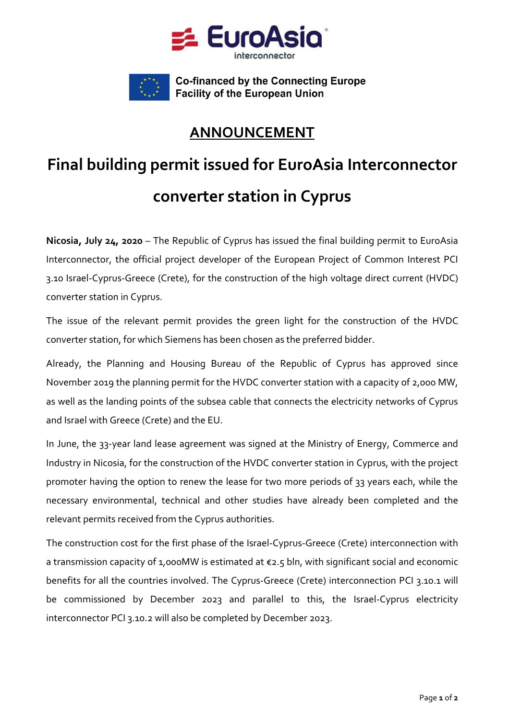



**Co-financed by the Connecting Europe Facility of the European Union** 

## **ANNOUNCEMENT**

## **Final building permit issued for EuroAsia Interconnector converter station in Cyprus**

**Nicosia, July 24, 2020** – The Republic of Cyprus has issued the final building permit to EuroAsia Interconnector, the official project developer of the European Project of Common Interest PCI 3.10 Israel-Cyprus-Greece (Crete), for the construction of the high voltage direct current (HVDC) converter station in Cyprus.

The issue of the relevant permit provides the green light for the construction of the HVDC converter station, for which Siemens has been chosen as the preferred bidder.

Already, the Planning and Housing Bureau of the Republic of Cyprus has approved since November 2019 the planning permit for the HVDC converter station with a capacity of 2,000 MW, as well as the landing points of the subsea cable that connects the electricity networks of Cyprus and Israel with Greece (Crete) and the EU.

In June, the 33-year land lease agreement was signed at the Ministry of Energy, Commerce and Industry in Nicosia, for the construction of the HVDC converter station in Cyprus, with the project promoter having the option to renew the lease for two more periods of 33 years each, while the necessary environmental, technical and other studies have already been completed and the relevant permits received from the Cyprus authorities.

The construction cost for the first phase of the Israel-Cyprus-Greece (Crete) interconnection with a transmission capacity of 1,000MW is estimated at €2.5 bln, with significant social and economic benefits for all the countries involved. The Cyprus-Greece (Crete) interconnection PCI 3.10.1 will be commissioned by December 2023 and parallel to this, the Israel-Cyprus electricity interconnector PCI 3.10.2 will also be completed by December 2023.